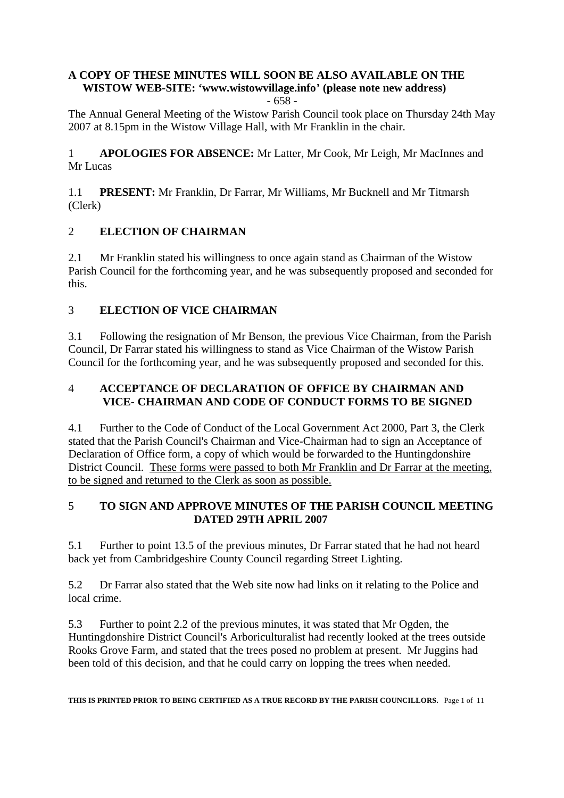# **A COPY OF THESE MINUTES WILL SOON BE ALSO AVAILABLE ON THE WISTOW WEB-SITE: 'www.wistowvillage.info' (please note new address)**

- 658 -

The Annual General Meeting of the Wistow Parish Council took place on Thursday 24th May 2007 at 8.15pm in the Wistow Village Hall, with Mr Franklin in the chair.

1 **APOLOGIES FOR ABSENCE:** Mr Latter, Mr Cook, Mr Leigh, Mr MacInnes and Mr Lucas

1.1 **PRESENT:** Mr Franklin, Dr Farrar, Mr Williams, Mr Bucknell and Mr Titmarsh (Clerk)

# 2 **ELECTION OF CHAIRMAN**

2.1 Mr Franklin stated his willingness to once again stand as Chairman of the Wistow Parish Council for the forthcoming year, and he was subsequently proposed and seconded for this.

# 3 **ELECTION OF VICE CHAIRMAN**

3.1 Following the resignation of Mr Benson, the previous Vice Chairman, from the Parish Council, Dr Farrar stated his willingness to stand as Vice Chairman of the Wistow Parish Council for the forthcoming year, and he was subsequently proposed and seconded for this.

### 4 **ACCEPTANCE OF DECLARATION OF OFFICE BY CHAIRMAN AND VICE- CHAIRMAN AND CODE OF CONDUCT FORMS TO BE SIGNED**

4.1 Further to the Code of Conduct of the Local Government Act 2000, Part 3, the Clerk stated that the Parish Council's Chairman and Vice-Chairman had to sign an Acceptance of Declaration of Office form, a copy of which would be forwarded to the Huntingdonshire District Council. These forms were passed to both Mr Franklin and Dr Farrar at the meeting, to be signed and returned to the Clerk as soon as possible.

### 5 **TO SIGN AND APPROVE MINUTES OF THE PARISH COUNCIL MEETING DATED 29TH APRIL 2007**

5.1 Further to point 13.5 of the previous minutes, Dr Farrar stated that he had not heard back yet from Cambridgeshire County Council regarding Street Lighting.

5.2 Dr Farrar also stated that the Web site now had links on it relating to the Police and local crime.

5.3 Further to point 2.2 of the previous minutes, it was stated that Mr Ogden, the Huntingdonshire District Council's Arboriculturalist had recently looked at the trees outside Rooks Grove Farm, and stated that the trees posed no problem at present. Mr Juggins had been told of this decision, and that he could carry on lopping the trees when needed.

**THIS IS PRINTED PRIOR TO BEING CERTIFIED AS A TRUE RECORD BY THE PARISH COUNCILLORS.** Page 1 of 11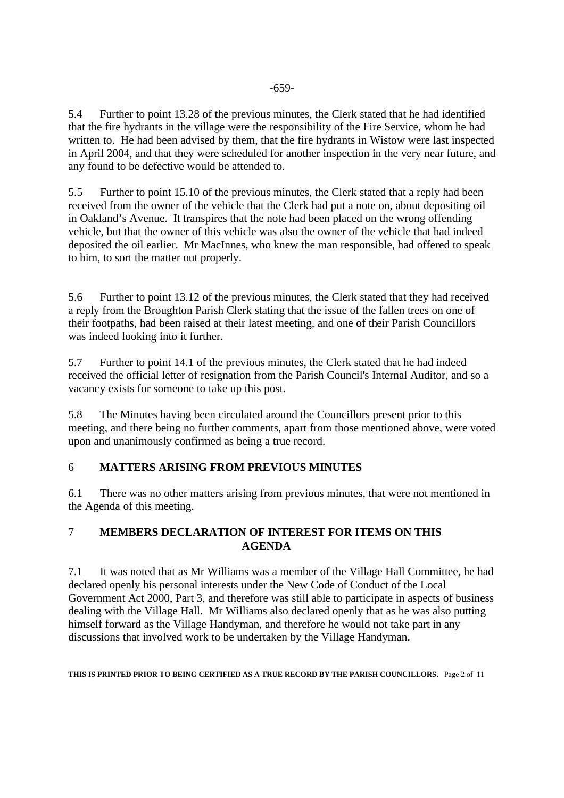5.4 Further to point 13.28 of the previous minutes, the Clerk stated that he had identified that the fire hydrants in the village were the responsibility of the Fire Service, whom he had written to. He had been advised by them, that the fire hydrants in Wistow were last inspected in April 2004, and that they were scheduled for another inspection in the very near future, and any found to be defective would be attended to.

5.5 Further to point 15.10 of the previous minutes, the Clerk stated that a reply had been received from the owner of the vehicle that the Clerk had put a note on, about depositing oil in Oakland's Avenue. It transpires that the note had been placed on the wrong offending vehicle, but that the owner of this vehicle was also the owner of the vehicle that had indeed deposited the oil earlier. Mr MacInnes, who knew the man responsible, had offered to speak to him, to sort the matter out properly.

5.6 Further to point 13.12 of the previous minutes, the Clerk stated that they had received a reply from the Broughton Parish Clerk stating that the issue of the fallen trees on one of their footpaths, had been raised at their latest meeting, and one of their Parish Councillors was indeed looking into it further.

5.7 Further to point 14.1 of the previous minutes, the Clerk stated that he had indeed received the official letter of resignation from the Parish Council's Internal Auditor, and so a vacancy exists for someone to take up this post.

5.8 The Minutes having been circulated around the Councillors present prior to this meeting, and there being no further comments, apart from those mentioned above, were voted upon and unanimously confirmed as being a true record.

# 6 **MATTERS ARISING FROM PREVIOUS MINUTES**

6.1 There was no other matters arising from previous minutes, that were not mentioned in the Agenda of this meeting.

### 7 **MEMBERS DECLARATION OF INTEREST FOR ITEMS ON THIS AGENDA**

7.1 It was noted that as Mr Williams was a member of the Village Hall Committee, he had declared openly his personal interests under the New Code of Conduct of the Local Government Act 2000, Part 3, and therefore was still able to participate in aspects of business dealing with the Village Hall. Mr Williams also declared openly that as he was also putting himself forward as the Village Handyman, and therefore he would not take part in any discussions that involved work to be undertaken by the Village Handyman.

**THIS IS PRINTED PRIOR TO BEING CERTIFIED AS A TRUE RECORD BY THE PARISH COUNCILLORS.** Page 2 of 11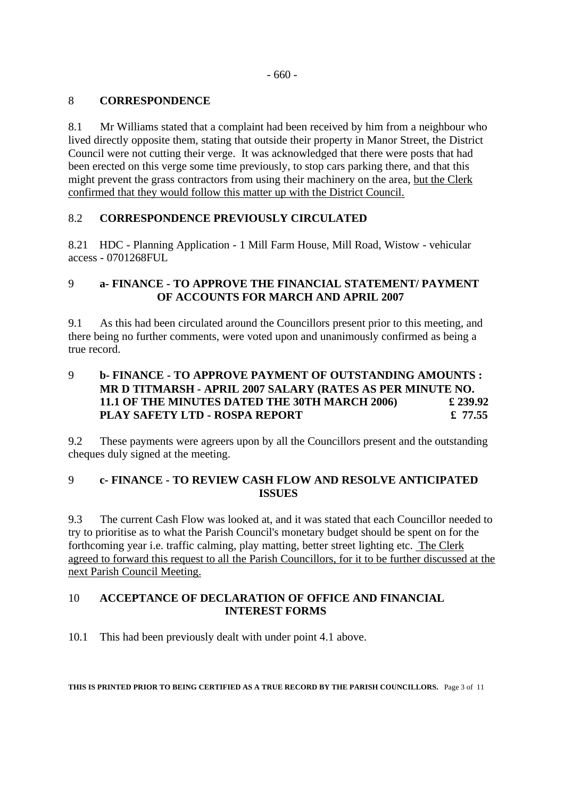### 8 **CORRESPONDENCE**

8.1 Mr Williams stated that a complaint had been received by him from a neighbour who lived directly opposite them, stating that outside their property in Manor Street, the District Council were not cutting their verge. It was acknowledged that there were posts that had been erected on this verge some time previously, to stop cars parking there, and that this might prevent the grass contractors from using their machinery on the area, but the Clerk confirmed that they would follow this matter up with the District Council.

### 8.2 **CORRESPONDENCE PREVIOUSLY CIRCULATED**

8.21 HDC - Planning Application - 1 Mill Farm House, Mill Road, Wistow - vehicular access - 0701268FUL

### 9 **a- FINANCE - TO APPROVE THE FINANCIAL STATEMENT/ PAYMENT OF ACCOUNTS FOR MARCH AND APRIL 2007**

9.1 As this had been circulated around the Councillors present prior to this meeting, and there being no further comments, were voted upon and unanimously confirmed as being a true record.

### 9 **b- FINANCE - TO APPROVE PAYMENT OF OUTSTANDING AMOUNTS : MR D TITMARSH - APRIL 2007 SALARY (RATES AS PER MINUTE NO. 11.1 OF THE MINUTES DATED THE 30TH MARCH 2006) £ 239.92 PLAY SAFETY LTD - ROSPA REPORT**  $£ 77.55$

9.2 These payments were agreers upon by all the Councillors present and the outstanding cheques duly signed at the meeting.

### 9 **c- FINANCE - TO REVIEW CASH FLOW AND RESOLVE ANTICIPATED ISSUES**

9.3 The current Cash Flow was looked at, and it was stated that each Councillor needed to try to prioritise as to what the Parish Council's monetary budget should be spent on for the forthcoming year i.e. traffic calming, play matting, better street lighting etc. The Clerk agreed to forward this request to all the Parish Councillors, for it to be further discussed at the next Parish Council Meeting.

### 10 **ACCEPTANCE OF DECLARATION OF OFFICE AND FINANCIAL INTEREST FORMS**

10.1 This had been previously dealt with under point 4.1 above.

**THIS IS PRINTED PRIOR TO BEING CERTIFIED AS A TRUE RECORD BY THE PARISH COUNCILLORS.** Page 3 of 11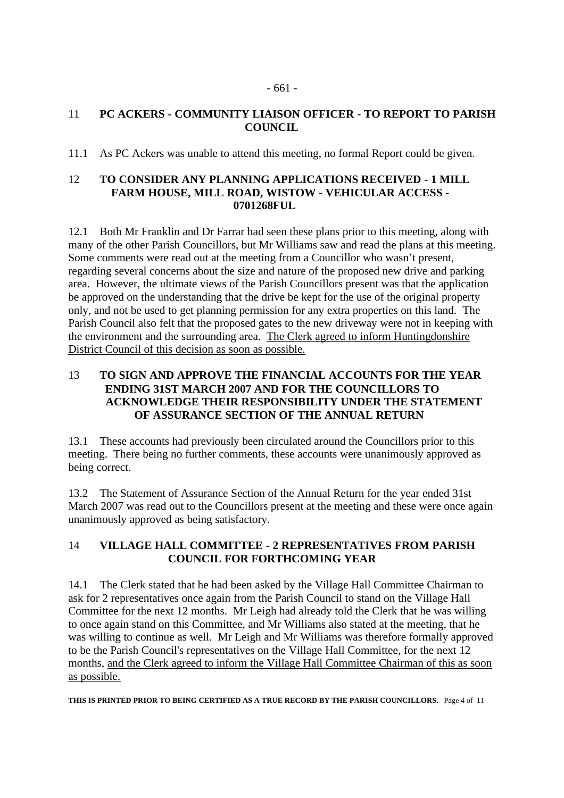### 11 **PC ACKERS - COMMUNITY LIAISON OFFICER - TO REPORT TO PARISH COUNCIL**

11.1 As PC Ackers was unable to attend this meeting, no formal Report could be given.

#### 12 **TO CONSIDER ANY PLANNING APPLICATIONS RECEIVED - 1 MILL FARM HOUSE, MILL ROAD, WISTOW - VEHICULAR ACCESS - 0701268FUL**

12.1 Both Mr Franklin and Dr Farrar had seen these plans prior to this meeting, along with many of the other Parish Councillors, but Mr Williams saw and read the plans at this meeting. Some comments were read out at the meeting from a Councillor who wasn't present, regarding several concerns about the size and nature of the proposed new drive and parking area. However, the ultimate views of the Parish Councillors present was that the application be approved on the understanding that the drive be kept for the use of the original property only, and not be used to get planning permission for any extra properties on this land. The Parish Council also felt that the proposed gates to the new driveway were not in keeping with the environment and the surrounding area. The Clerk agreed to inform Huntingdonshire District Council of this decision as soon as possible.

### 13 **TO SIGN AND APPROVE THE FINANCIAL ACCOUNTS FOR THE YEAR ENDING 31ST MARCH 2007 AND FOR THE COUNCILLORS TO ACKNOWLEDGE THEIR RESPONSIBILITY UNDER THE STATEMENT OF ASSURANCE SECTION OF THE ANNUAL RETURN**

13.1 These accounts had previously been circulated around the Councillors prior to this meeting. There being no further comments, these accounts were unanimously approved as being correct.

13.2 The Statement of Assurance Section of the Annual Return for the year ended 31st March 2007 was read out to the Councillors present at the meeting and these were once again unanimously approved as being satisfactory.

# 14 **VILLAGE HALL COMMITTEE - 2 REPRESENTATIVES FROM PARISH COUNCIL FOR FORTHCOMING YEAR**

14.1 The Clerk stated that he had been asked by the Village Hall Committee Chairman to ask for 2 representatives once again from the Parish Council to stand on the Village Hall Committee for the next 12 months. Mr Leigh had already told the Clerk that he was willing to once again stand on this Committee, and Mr Williams also stated at the meeting, that he was willing to continue as well. Mr Leigh and Mr Williams was therefore formally approved to be the Parish Council's representatives on the Village Hall Committee, for the next 12 months, and the Clerk agreed to inform the Village Hall Committee Chairman of this as soon as possible.

**THIS IS PRINTED PRIOR TO BEING CERTIFIED AS A TRUE RECORD BY THE PARISH COUNCILLORS.** Page 4 of 11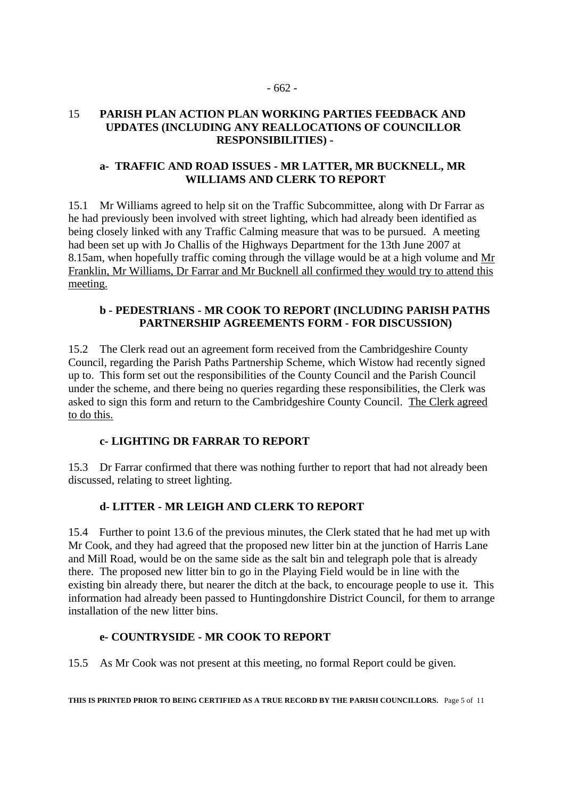#### 15 **PARISH PLAN ACTION PLAN WORKING PARTIES FEEDBACK AND UPDATES (INCLUDING ANY REALLOCATIONS OF COUNCILLOR RESPONSIBILITIES) -**

#### **a- TRAFFIC AND ROAD ISSUES - MR LATTER, MR BUCKNELL, MR WILLIAMS AND CLERK TO REPORT**

15.1 Mr Williams agreed to help sit on the Traffic Subcommittee, along with Dr Farrar as he had previously been involved with street lighting, which had already been identified as being closely linked with any Traffic Calming measure that was to be pursued. A meeting had been set up with Jo Challis of the Highways Department for the 13th June 2007 at 8.15am, when hopefully traffic coming through the village would be at a high volume and Mr Franklin, Mr Williams, Dr Farrar and Mr Bucknell all confirmed they would try to attend this meeting.

#### **b - PEDESTRIANS - MR COOK TO REPORT (INCLUDING PARISH PATHS PARTNERSHIP AGREEMENTS FORM - FOR DISCUSSION)**

15.2 The Clerk read out an agreement form received from the Cambridgeshire County Council, regarding the Parish Paths Partnership Scheme, which Wistow had recently signed up to. This form set out the responsibilities of the County Council and the Parish Council under the scheme, and there being no queries regarding these responsibilities, the Clerk was asked to sign this form and return to the Cambridgeshire County Council. The Clerk agreed to do this.

#### **c- LIGHTING DR FARRAR TO REPORT**

15.3 Dr Farrar confirmed that there was nothing further to report that had not already been discussed, relating to street lighting.

### **d- LITTER - MR LEIGH AND CLERK TO REPORT**

15.4 Further to point 13.6 of the previous minutes, the Clerk stated that he had met up with Mr Cook, and they had agreed that the proposed new litter bin at the junction of Harris Lane and Mill Road, would be on the same side as the salt bin and telegraph pole that is already there. The proposed new litter bin to go in the Playing Field would be in line with the existing bin already there, but nearer the ditch at the back, to encourage people to use it. This information had already been passed to Huntingdonshire District Council, for them to arrange installation of the new litter bins.

### **e- COUNTRYSIDE - MR COOK TO REPORT**

15.5 As Mr Cook was not present at this meeting, no formal Report could be given.

**THIS IS PRINTED PRIOR TO BEING CERTIFIED AS A TRUE RECORD BY THE PARISH COUNCILLORS.** Page 5 of 11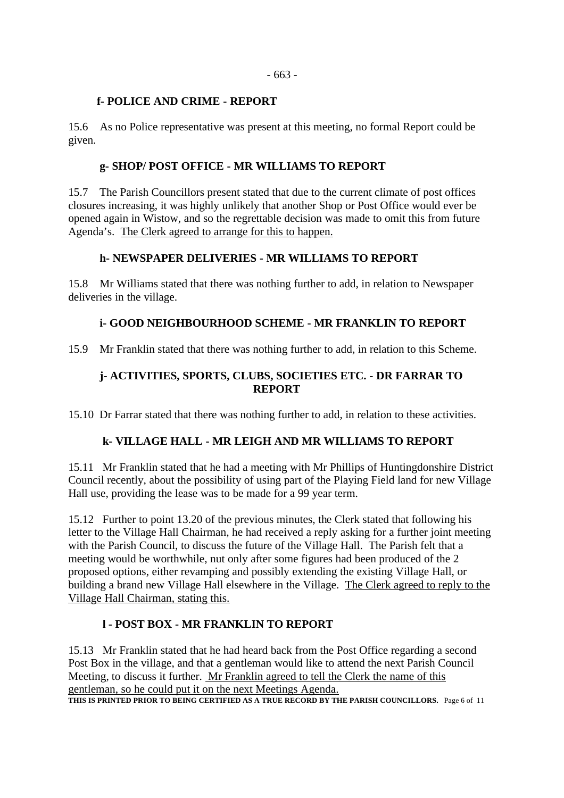#### **f- POLICE AND CRIME - REPORT**

15.6 As no Police representative was present at this meeting, no formal Report could be given.

#### **g- SHOP/ POST OFFICE - MR WILLIAMS TO REPORT**

15.7 The Parish Councillors present stated that due to the current climate of post offices closures increasing, it was highly unlikely that another Shop or Post Office would ever be opened again in Wistow, and so the regrettable decision was made to omit this from future Agenda's. The Clerk agreed to arrange for this to happen.

#### **h- NEWSPAPER DELIVERIES - MR WILLIAMS TO REPORT**

15.8 Mr Williams stated that there was nothing further to add, in relation to Newspaper deliveries in the village.

### **i- GOOD NEIGHBOURHOOD SCHEME - MR FRANKLIN TO REPORT**

15.9 Mr Franklin stated that there was nothing further to add, in relation to this Scheme.

### **j- ACTIVITIES, SPORTS, CLUBS, SOCIETIES ETC. - DR FARRAR TO REPORT**

15.10 Dr Farrar stated that there was nothing further to add, in relation to these activities.

### **k- VILLAGE HALL - MR LEIGH AND MR WILLIAMS TO REPORT**

15.11 Mr Franklin stated that he had a meeting with Mr Phillips of Huntingdonshire District Council recently, about the possibility of using part of the Playing Field land for new Village Hall use, providing the lease was to be made for a 99 year term.

15.12 Further to point 13.20 of the previous minutes, the Clerk stated that following his letter to the Village Hall Chairman, he had received a reply asking for a further joint meeting with the Parish Council, to discuss the future of the Village Hall. The Parish felt that a meeting would be worthwhile, nut only after some figures had been produced of the 2 proposed options, either revamping and possibly extending the existing Village Hall, or building a brand new Village Hall elsewhere in the Village. The Clerk agreed to reply to the Village Hall Chairman, stating this.

### **l - POST BOX - MR FRANKLIN TO REPORT**

15.13 Mr Franklin stated that he had heard back from the Post Office regarding a second Post Box in the village, and that a gentleman would like to attend the next Parish Council Meeting, to discuss it further. Mr Franklin agreed to tell the Clerk the name of this gentleman, so he could put it on the next Meetings Agenda. THIS IS PRINTED PRIOR TO BEING CERTIFIED AS A TRUE RECORD BY THE PARISH COUNCILLORS. Page 6 of 11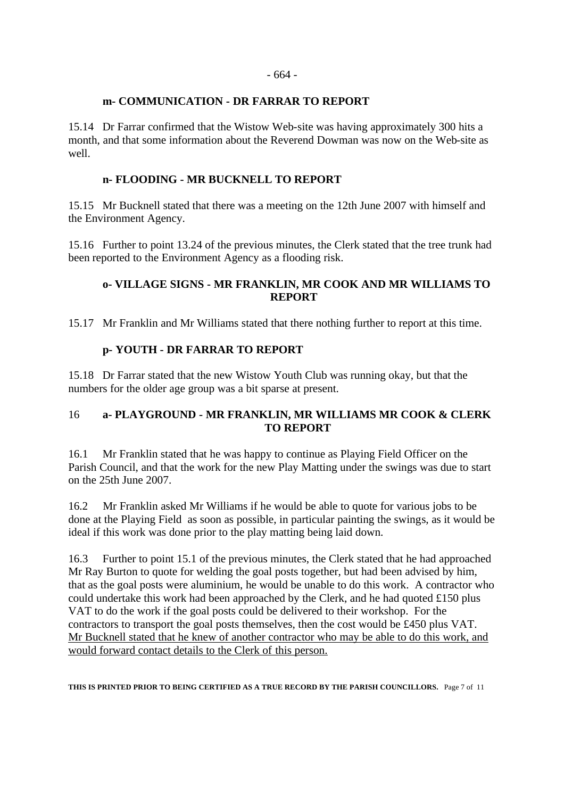#### **m- COMMUNICATION - DR FARRAR TO REPORT**

15.14 Dr Farrar confirmed that the Wistow Web-site was having approximately 300 hits a month, and that some information about the Reverend Dowman was now on the Web-site as well.

### **n- FLOODING - MR BUCKNELL TO REPORT**

15.15 Mr Bucknell stated that there was a meeting on the 12th June 2007 with himself and the Environment Agency.

15.16 Further to point 13.24 of the previous minutes, the Clerk stated that the tree trunk had been reported to the Environment Agency as a flooding risk.

### **o- VILLAGE SIGNS - MR FRANKLIN, MR COOK AND MR WILLIAMS TO REPORT**

15.17 Mr Franklin and Mr Williams stated that there nothing further to report at this time.

### **p- YOUTH - DR FARRAR TO REPORT**

15.18 Dr Farrar stated that the new Wistow Youth Club was running okay, but that the numbers for the older age group was a bit sparse at present.

# 16 **a- PLAYGROUND - MR FRANKLIN, MR WILLIAMS MR COOK & CLERK TO REPORT**

16.1 Mr Franklin stated that he was happy to continue as Playing Field Officer on the Parish Council, and that the work for the new Play Matting under the swings was due to start on the 25th June 2007.

16.2 Mr Franklin asked Mr Williams if he would be able to quote for various jobs to be done at the Playing Field as soon as possible, in particular painting the swings, as it would be ideal if this work was done prior to the play matting being laid down.

16.3 Further to point 15.1 of the previous minutes, the Clerk stated that he had approached Mr Ray Burton to quote for welding the goal posts together, but had been advised by him, that as the goal posts were aluminium, he would be unable to do this work. A contractor who could undertake this work had been approached by the Clerk, and he had quoted £150 plus VAT to do the work if the goal posts could be delivered to their workshop. For the contractors to transport the goal posts themselves, then the cost would be £450 plus VAT. Mr Bucknell stated that he knew of another contractor who may be able to do this work, and would forward contact details to the Clerk of this person.

**THIS IS PRINTED PRIOR TO BEING CERTIFIED AS A TRUE RECORD BY THE PARISH COUNCILLORS.** Page 7 of 11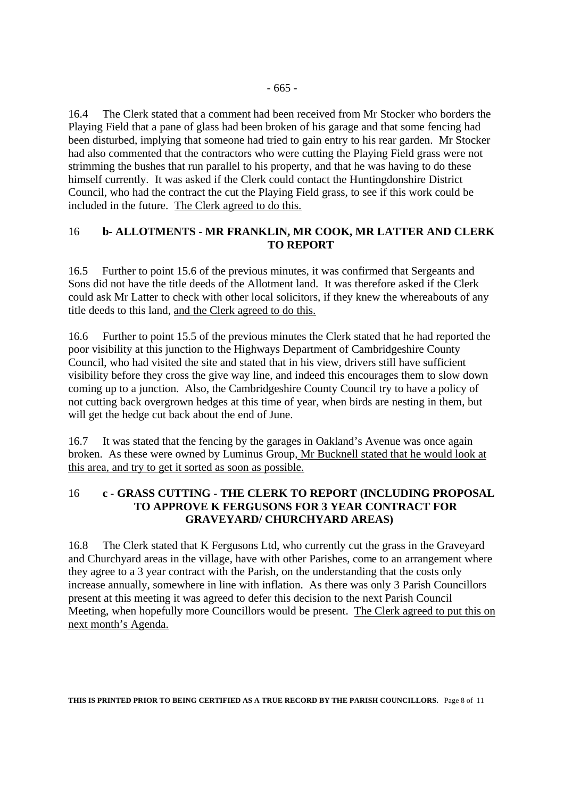16.4 The Clerk stated that a comment had been received from Mr Stocker who borders the Playing Field that a pane of glass had been broken of his garage and that some fencing had been disturbed, implying that someone had tried to gain entry to his rear garden. Mr Stocker had also commented that the contractors who were cutting the Playing Field grass were not strimming the bushes that run parallel to his property, and that he was having to do these himself currently. It was asked if the Clerk could contact the Huntingdonshire District Council, who had the contract the cut the Playing Field grass, to see if this work could be included in the future. The Clerk agreed to do this.

### 16 **b- ALLOTMENTS - MR FRANKLIN, MR COOK, MR LATTER AND CLERK TO REPORT**

16.5 Further to point 15.6 of the previous minutes, it was confirmed that Sergeants and Sons did not have the title deeds of the Allotment land. It was therefore asked if the Clerk could ask Mr Latter to check with other local solicitors, if they knew the whereabouts of any title deeds to this land, and the Clerk agreed to do this.

16.6 Further to point 15.5 of the previous minutes the Clerk stated that he had reported the poor visibility at this junction to the Highways Department of Cambridgeshire County Council, who had visited the site and stated that in his view, drivers still have sufficient visibility before they cross the give way line, and indeed this encourages them to slow down coming up to a junction. Also, the Cambridgeshire County Council try to have a policy of not cutting back overgrown hedges at this time of year, when birds are nesting in them, but will get the hedge cut back about the end of June.

16.7 It was stated that the fencing by the garages in Oakland's Avenue was once again broken. As these were owned by Luminus Group, Mr Bucknell stated that he would look at this area, and try to get it sorted as soon as possible.

### 16 **c - GRASS CUTTING - THE CLERK TO REPORT (INCLUDING PROPOSAL TO APPROVE K FERGUSONS FOR 3 YEAR CONTRACT FOR GRAVEYARD/ CHURCHYARD AREAS)**

16.8 The Clerk stated that K Fergusons Ltd, who currently cut the grass in the Graveyard and Churchyard areas in the village, have with other Parishes, come to an arrangement where they agree to a 3 year contract with the Parish, on the understanding that the costs only increase annually, somewhere in line with inflation. As there was only 3 Parish Councillors present at this meeting it was agreed to defer this decision to the next Parish Council Meeting, when hopefully more Councillors would be present. The Clerk agreed to put this on next month's Agenda.

**THIS IS PRINTED PRIOR TO BEING CERTIFIED AS A TRUE RECORD BY THE PARISH COUNCILLORS.** Page 8 of 11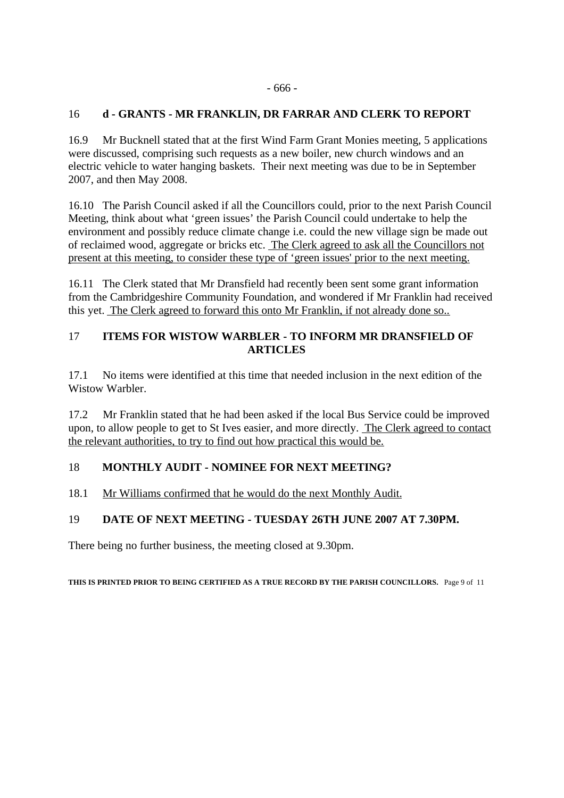#### - 666 -

### 16 **d - GRANTS - MR FRANKLIN, DR FARRAR AND CLERK TO REPORT**

16.9 Mr Bucknell stated that at the first Wind Farm Grant Monies meeting, 5 applications were discussed, comprising such requests as a new boiler, new church windows and an electric vehicle to water hanging baskets. Their next meeting was due to be in September 2007, and then May 2008.

16.10 The Parish Council asked if all the Councillors could, prior to the next Parish Council Meeting, think about what 'green issues' the Parish Council could undertake to help the environment and possibly reduce climate change i.e. could the new village sign be made out of reclaimed wood, aggregate or bricks etc. The Clerk agreed to ask all the Councillors not present at this meeting, to consider these type of 'green issues' prior to the next meeting.

16.11 The Clerk stated that Mr Dransfield had recently been sent some grant information from the Cambridgeshire Community Foundation, and wondered if Mr Franklin had received this yet. The Clerk agreed to forward this onto Mr Franklin, if not already done so..

### 17 **ITEMS FOR WISTOW WARBLER - TO INFORM MR DRANSFIELD OF ARTICLES**

17.1 No items were identified at this time that needed inclusion in the next edition of the Wistow Warbler.

17.2 Mr Franklin stated that he had been asked if the local Bus Service could be improved upon, to allow people to get to St Ives easier, and more directly. The Clerk agreed to contact the relevant authorities, to try to find out how practical this would be.

# 18 **MONTHLY AUDIT - NOMINEE FOR NEXT MEETING?**

### 18.1 Mr Williams confirmed that he would do the next Monthly Audit.

### 19 **DATE OF NEXT MEETING - TUESDAY 26TH JUNE 2007 AT 7.30PM.**

There being no further business, the meeting closed at 9.30pm.

**THIS IS PRINTED PRIOR TO BEING CERTIFIED AS A TRUE RECORD BY THE PARISH COUNCILLORS.** Page 9 of 11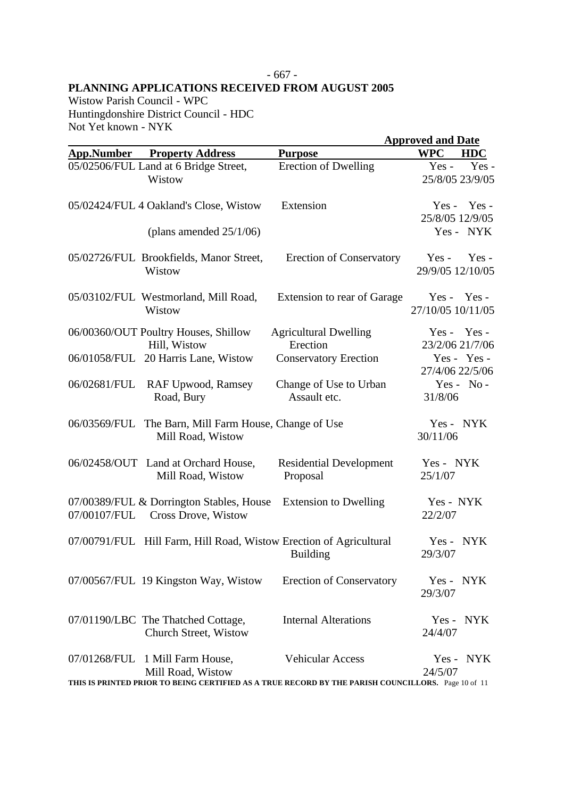#### - 667 - **PLANNING APPLICATIONS RECEIVED FROM AUGUST 2005**

Wistow Parish Council - WPC Huntingdonshire District Council - HDC Not Yet known - NYK

|              |                                                                    |                                                                                                    | <b>Approved and Date</b>               |  |
|--------------|--------------------------------------------------------------------|----------------------------------------------------------------------------------------------------|----------------------------------------|--|
|              | <b>App.Number</b> Property Address                                 | <b>Purpose</b>                                                                                     | <b>WPC</b><br><b>HDC</b>               |  |
|              | 05/02506/FUL Land at 6 Bridge Street,<br>Wistow                    | <b>Erection of Dwelling</b>                                                                        | $Yes -$<br>Yes-<br>25/8/05 23/9/05     |  |
|              | 05/02424/FUL 4 Oakland's Close, Wistow                             | Extension                                                                                          | $Yes - Yes -$<br>25/8/05 12/9/05       |  |
|              | (plans amended $25/1/06$ )                                         |                                                                                                    | Yes - NYK                              |  |
|              | 05/02726/FUL Brookfields, Manor Street,<br>Wistow                  | <b>Erection of Conservatory</b>                                                                    | $Yes -$<br>$Yes -$<br>29/9/05 12/10/05 |  |
|              | 05/03102/FUL Westmorland, Mill Road,<br>Wistow                     | Extension to rear of Garage                                                                        | $Yes - Yes -$<br>27/10/05 10/11/05     |  |
|              | 06/00360/OUT Poultry Houses, Shillow<br>Hill, Wistow               | <b>Agricultural Dwelling</b><br>Erection                                                           | Yes - Yes -<br>23/2/06 21/7/06         |  |
|              | 06/01058/FUL 20 Harris Lane, Wistow                                | <b>Conservatory Erection</b>                                                                       | Yes - Yes -<br>27/4/06 22/5/06         |  |
| 06/02681/FUL | <b>RAF Upwood, Ramsey</b><br>Road, Bury                            | Change of Use to Urban<br>Assault etc.                                                             | Yes - $No -$<br>31/8/06                |  |
| 06/03569/FUL | The Barn, Mill Farm House, Change of Use<br>Mill Road, Wistow      |                                                                                                    | Yes - NYK<br>30/11/06                  |  |
|              | 06/02458/OUT Land at Orchard House,<br>Mill Road, Wistow           | <b>Residential Development</b><br>Proposal                                                         | Yes - NYK<br>25/1/07                   |  |
| 07/00107/FUL | 07/00389/FUL & Dorrington Stables, House<br>Cross Drove, Wistow    | <b>Extension to Dwelling</b>                                                                       | Yes - NYK<br>22/2/07                   |  |
|              | 07/00791/FUL Hill Farm, Hill Road, Wistow Erection of Agricultural | <b>Building</b>                                                                                    | Yes - NYK<br>29/3/07                   |  |
|              | 07/00567/FUL 19 Kingston Way, Wistow                               | <b>Erection of Conservatory</b>                                                                    | Yes - NYK<br>29/3/07                   |  |
|              | 07/01190/LBC The Thatched Cottage,<br>Church Street, Wistow        | <b>Internal Alterations</b>                                                                        | Yes - NYK<br>24/4/07                   |  |
|              | 07/01268/FUL 1 Mill Farm House,<br>Mill Road, Wistow               | <b>Vehicular Access</b>                                                                            | Yes - NYK<br>24/5/07                   |  |
|              |                                                                    | THIS IS PRINTED PRIOR TO BEING CERTIFIED AS A TRUE RECORD BY THE PARISH COUNCILLORS. Page 10 of 11 |                                        |  |